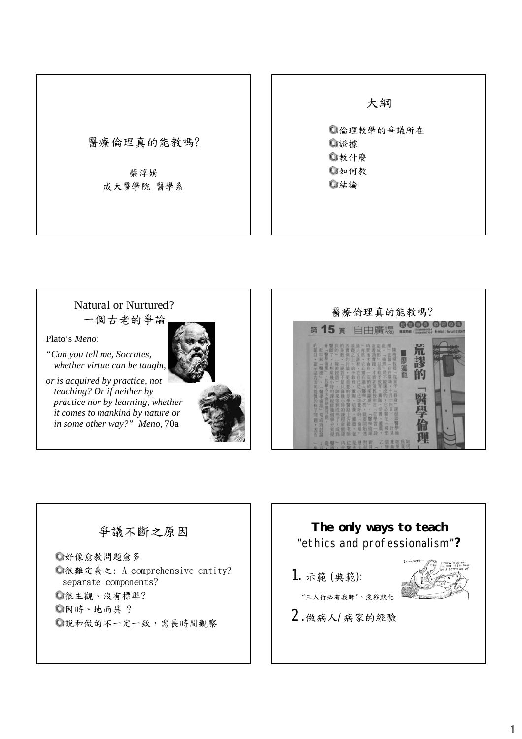

大綱

倫理教學的爭議所在 證據 教什麼 如何教 結論



Plato's *Meno*:

*"Can you tell me, Socrates, whether virtue can be taught,* 

*or is acquired by practice, not teaching? Or if neither by practice nor by learning, whether it comes to mankind by nature or in some other way?" Meno*, 70a





## 爭議不斷之原因

好像愈教問題愈多 很難定義之: A comprehensive entity? separate components? 很主觀、沒有標準? 因時、地而異 ? 說和做的不一定一致,需長時間觀察

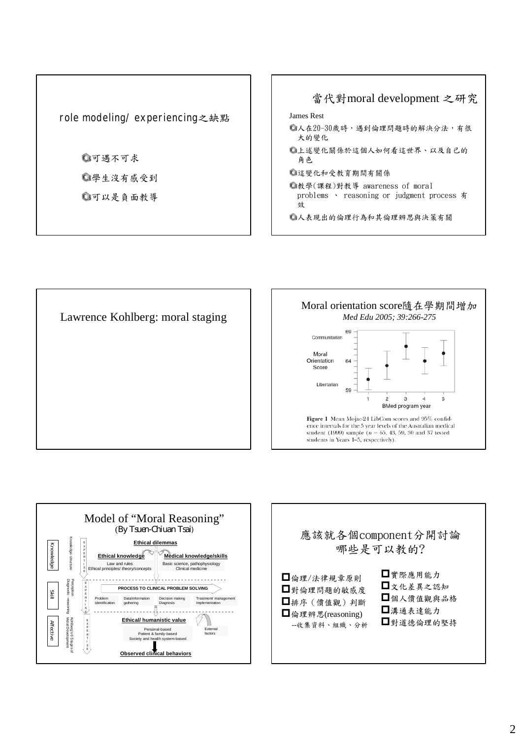role modeling/ experiencing之缺點

可遇不可求 學生沒有感受到 可以是負面教導









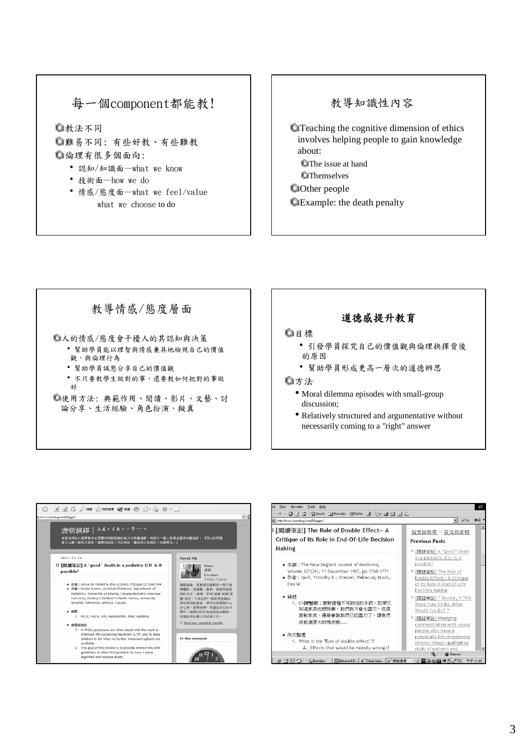#### 每一個component都能教!

教法不同

- 難易不同: 有些好教、有些難教 倫理有很多個面向:
	- 認知/知識面—what we know
	- 技術面—how we do
	- 情感/態度面—what we feel/value what we choose to do

#### 教導知識性內容

- Teaching the cognitive dimension of ethics involves helping people to gain knowledge about: **C**The issue at hand
	- **O**Themselves
- **Other people** Example: the death penalty

# 教導情感/態度層面

- 人的情感/態度會干擾人的其認知與決策 ‧幫助學員能以理智與情感兼具地檢視自己的價值 觀,與倫理行為
	- ‧幫助學員誠懇分享自己的價值觀
	- ‧不只要教學生做對的事,還要教如何把對的事做 好

使用方法: 典範作用、閱讀、影片、文藝、討 論分享、生活經驗、角色扮演、擬真

#### 道德感提升教育

#### 目標

- ‧引發學員探究自己的價值觀與倫理抉擇背後 的原因
- ‧幫助學員形成更高一層次的道德辨思

#### 方法

- Moral dilemma episodes with small-group discussion;
- Relatively structured and argumentative without necessarily coming to a "right" answer



| http://www.nayatang.com/blogger/                                                                                                                                   | $\approx$ Go<br>連結 »<br>$\mathbf{r}$                                                                                                                                       |
|--------------------------------------------------------------------------------------------------------------------------------------------------------------------|----------------------------------------------------------------------------------------------------------------------------------------------------------------------------|
| 「閱讀筆記] The Rule of Double Effect— A<br>Critique of Its Role in End-Of-Life Decision                                                                                | <u>留言給唐朝</u> :: <u>寄信給唐朝</u><br><b>Previous Posts</b>                                                                                                                      |
| Making<br>• 來灑:The New England Journal of Medicine.<br>Volume 337(24), 11 December 1997, pp 1768-1771<br>• 作者:Quill, Timothy E.; Dresser, Rebecca; Brock,<br>Dan W | □ [閣語筆記] A "good" death<br>in a pediatric ICU: is it<br>possible?<br>□ [閱讀筆記] The Rule of<br>Double Effect- A Critique<br>of Its Role in End-Of-Life<br>Decision Making    |
| • 緣起<br>1. CV陳醫師:面對這種不可救活的小孩,如果又<br>知道家長也想放棄,我們就不會太盡力,但是<br>面對家長,還是會說我們已經盡力了,讓他們<br>沒有這麼大的愧疚感……<br>• 內文整理                                                          | □ [閱讀筆記] "Doctor, If This<br>Were Your Child, What<br>Would You Do?"<br>□ [関語筆記] Managing<br>communication with young<br>people who have a<br>potentially life threatening |
| 1. What is the "Rule of double effect" ?<br>A. Effects that would be morally wrong if                                                                              | chronic illness: qualitative<br>study of patients and                                                                                                                      |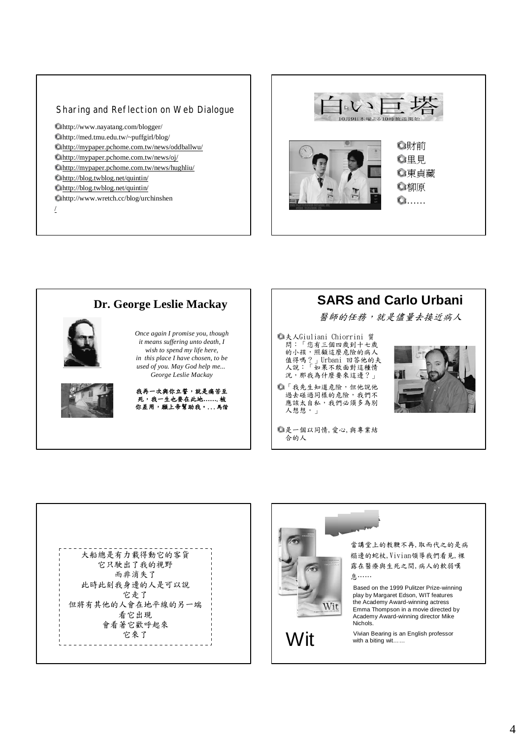#### Sharing and Reflection on Web Dialogue

http://www.nayatang.com/blogger/ http://med.tmu.edu.tw/~puffgirl/blog/ http://mypaper.pchome.com.tw/news/oddballwu/ http://mypaper.pchome.com.tw/news/oj/

- http://mypaper.pchome.com.tw/news/hughliu/
- http://blog.twblog.net/quintin/
- http://blog.twblog.net/quintin/
- http://www.wretch.cc/blog/urchinshen

/









大船總是有力載得動它的客貨 它只駛出了我的視野 而非消失了 此時此刻我身邊的人是可以說 它走了 但將有其他的人會在地平線的另一端 看它出現 會看著它歡呼起來 它來了 Wit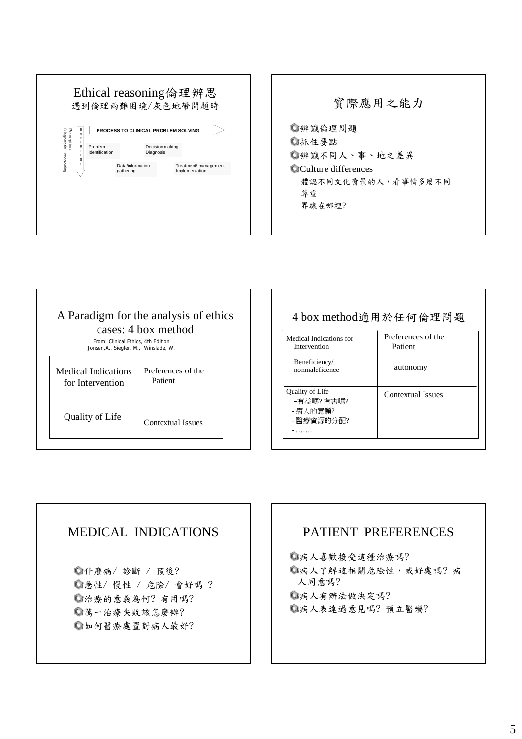



| A Paradigm for the analysis of ethics<br>cases: 4 box method                |                               |  |
|-----------------------------------------------------------------------------|-------------------------------|--|
| From: Clinical Ethics, 4th Edition<br>Jonsen, A., Siegler, M., Winslade, W. |                               |  |
| Medical Indications<br>for Intervention                                     | Preferences of the<br>Patient |  |
| Quality of Life                                                             | Contextual Issues             |  |

| 4 box method適用於任何倫理問題                                  |                               |  |
|--------------------------------------------------------|-------------------------------|--|
| Medical Indications for<br>Intervention                | Preferences of the<br>Patient |  |
| Beneficiency/<br>nonmaleficence                        | autonomy                      |  |
| Quality of Life<br>-有益嗎?有害嗎?<br>- 病人的意願?<br>- 醫療資源的分配? | Contextual Issues             |  |
|                                                        |                               |  |

#### MEDICAL INDICATIONS

什麼病/ 診斷 / 預後? 急性/ 慢性 / 危險/ 會好嗎 ? 治療的意義為何? 有用嗎? 萬一治療失敗該怎麼辦? 如何醫療處置對病人最好?

#### PATIENT PREFERENCES

病人喜歡接受這種治療嗎? 病人了解這相關危險性,或好處嗎? 病 人同意嗎? 病人有辦法做決定嗎? 病人表達過意見嗎? 預立醫囑?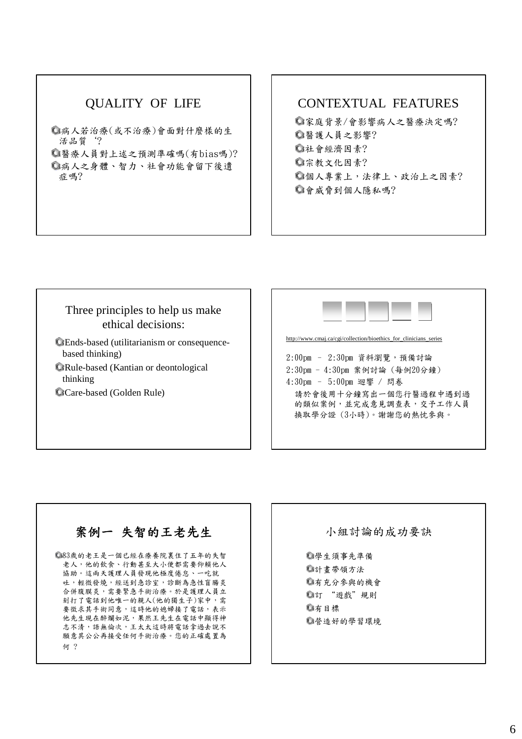## QUALITY OF LIFE

病人若治療(或不治療)會面對什麼樣的生 活品質'?

醫療人員對上述之預測準確嗎(有bias嗎)? 病人之身體、智力、社會功能會留下後遺 症嗎?

#### CONTEXTUAL FEATURES

家庭背景/會影響病人之醫療決定嗎? 醫護人員之影響? 社會經濟因素? 宗教文化因素? 個人專業上,法律上、政治上之因素? 會威脅到個人隱私嗎?

#### Three principles to help us make ethical decisions:

Ends-based (utilitarianism or consequencebased thinking) Rule-based (Kantian or deontological

thinking

Care-based (Golden Rule)



# 案例一 失智的王老先生

83歲的老王是一個已經在療養院裏住了五年的失智 老人,他的飲食、行動甚至大小便都需要仰賴他人 協助。這兩天護理人員發現他極度倦怠、一吃就 吐,輕微發燒,經送到急診室,診斷為急性盲腸炎 合併腹膜炎,需要緊急手術治療。於是護理人員立 刻打了電話到他唯一的親人(他的獨生子)家中,需 要徵求其手術同意,這時他的媳婦接了電話,表示 他先生現在醉爛如泥,果然王先生在電話中顯得神 志不清,語無倫次,王太太這時將電話拿過去說不 願意其公公再接受任何手術治療。您的正確處置為 何 ?

小組討論的成功要訣

換取學分證 (3小時)。謝謝您的熱忱參與。

學生須事先準備 計畫帶領方法 有充分參與的機會 訂 "遊戲"規則 有目標 營造好的學習環境